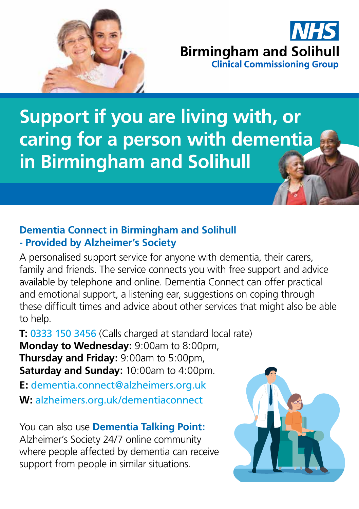

# **Birmingham and Solihull Clinical Commissioning Group**

**Support if you are living with, or caring for a person with dementia in Birmingham and Solihull**

### **Dementia Connect in Birmingham and Solihull - Provided by Alzheimer's Society**

A personalised support service for anyone with dementia, their carers, family and friends. The service connects you with free support and advice available by telephone and online. Dementia Connect can offer practical and emotional support, a listening ear, suggestions on coping through these difficult times and advice about other services that might also be able to help.

**T:** 0333 150 3456 (Calls charged at standard local rate) **Monday to Wednesday:** 9:00am to 8:00pm, **Thursday and Friday:** 9:00am to 5:00pm, **Saturday and Sunday:** 10:00am to 4:00pm.

**E:** dementia.connect@alzheimers.org.uk **W:** alzheimers.org.uk/dementiaconnect

You can also use **Dementia Talking Point:** Alzheimer's Society 24/7 online community where people affected by dementia can receive support from people in similar situations.

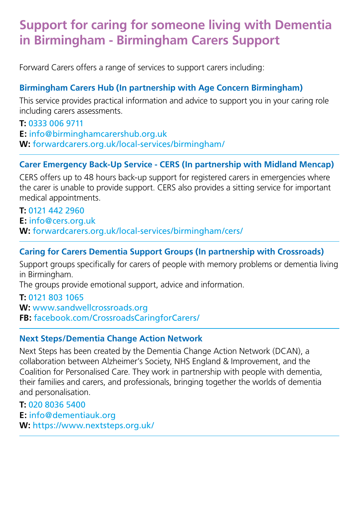### **Support for caring for someone living with Dementia in Birmingham - Birmingham Carers Support**

Forward Carers offers a range of services to support carers including:

#### **Birmingham Carers Hub (In partnership with Age Concern Birmingham)**

This service provides practical information and advice to support you in your caring role including carers assessments.

**T:** 0333 006 9711 **E:** info@birminghamcarershub.org.uk **W:** forwardcarers.org.uk/local-services/birmingham/

#### **Carer Emergency Back-Up Service - CERS (In partnership with Midland Mencap)**

CERS offers up to 48 hours back-up support for registered carers in emergencies where the carer is unable to provide support. CERS also provides a sitting service for important medical appointments.

**T:** 0121 442 2960 **E:** info@cers.org.uk **W:** forwardcarers.org.uk/local-services/birmingham/cers/

#### **Caring for Carers Dementia Support Groups (In partnership with Crossroads)**

Support groups specifically for carers of people with memory problems or dementia living in Birmingham.

The groups provide emotional support, advice and information.

#### **T:** 0121 803 1065

**W:** www.sandwellcrossroads.org **FB:** facebook.com/CrossroadsCaringforCarers/

#### **Next Steps/Dementia Change Action Network**

Next Steps has been created by the Dementia Change Action Network (DCAN), a collaboration between Alzheimer's Society, NHS England & Improvement, and the Coalition for Personalised Care. They work in partnership with people with dementia, their families and carers, and professionals, bringing together the worlds of dementia and personalisation.

**T:** 020 8036 5400 **E:** info@dementiauk.org **W:** https://www.nextsteps.org.uk/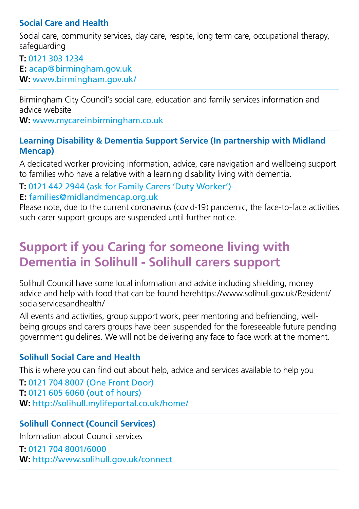#### **Social Care and Health**

Social care, community services, day care, respite, long term care, occupational therapy, safeguarding

**T:** 0121 303 1234 **E:** acap@birmingham.gov.uk **W:** www.birmingham.gov.uk/

Birmingham City Council's social care, education and family services information and advice website

**W:** www.mycareinbirmingham.co.uk

#### **Learning Disability & Dementia Support Service (In partnership with Midland Mencap)**

A dedicated worker providing information, advice, care navigation and wellbeing support to families who have a relative with a learning disability living with dementia.

#### **T:** 0121 442 2944 (ask for Family Carers 'Duty Worker') **E:** families@midlandmencap.org.uk

Please note, due to the current coronavirus (covid-19) pandemic, the face-to-face activities such carer support groups are suspended until further notice.

### **Support if you Caring for someone living with Dementia in Solihull - Solihull carers support**

Solihull Council have some local information and advice including shielding, money advice and help with food that can be found herehttps://www.solihull.gov.uk/Resident/ socialservicesandhealth/

All events and activities, group support work, peer mentoring and befriending, wellbeing groups and carers groups have been suspended for the foreseeable future pending government guidelines. We will not be delivering any face to face work at the moment.

#### **Solihull Social Care and Health**

This is where you can find out about help, advice and services available to help you

**T:** 0121 704 8007 (One Front Door) **T:** 0121 605 6060 (out of hours) **W:** http://solihull.mylifeportal.co.uk/home/

#### **Solihull Connect (Council Services)**

Information about Council services

**T:** 0121 704 8001/6000 **W:** http://www.solihull.gov.uk/connect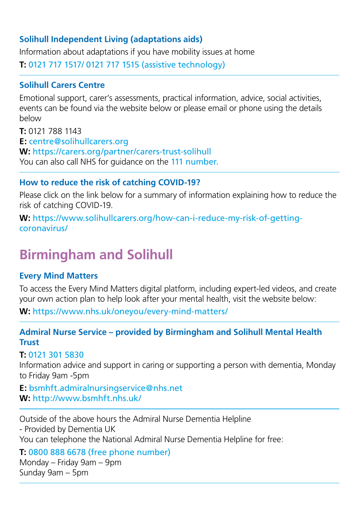#### **Solihull Independent Living (adaptations aids)**

Information about adaptations if you have mobility issues at home

**T:** 0121 717 1517/ 0121 717 1515 (assistive technology)

#### **Solihull Carers Centre**

Emotional support, carer's assessments, practical information, advice, social activities, events can be found via the website below or please email or phone using the details below

**T:** 0121 788 1143 **E:** centre@solihullcarers.org **W:** https://carers.org/partner/carers-trust-solihull You can also call NHS for guidance on the 111 number.

#### **How to reduce the risk of catching COVID-19?**

Please click on the link below for a summary of information explaining how to reduce the risk of catching COVID-19.

**W:** https://www.solihullcarers.org/how-can-i-reduce-my-risk-of-gettingcoronavirus/

## **Birmingham and Solihull**

#### **Every Mind Matters**

To access the Every Mind Matters digital platform, including expert-led videos, and create your own action plan to help look after your mental health, visit the website below:

**W:** https://www.nhs.uk/oneyou/every-mind-matters/

#### **Admiral Nurse Service – provided by Birmingham and Solihull Mental Health Trust**

#### **T:** 0121 301 5830

Information advice and support in caring or supporting a person with dementia, Monday to Friday 9am -5pm

**E:** bsmhft.admiralnursingservice@nhs.net **W:** http://www.bsmhft.nhs.uk/

Outside of the above hours the Admiral Nurse Dementia Helpline

- Provided by Dementia UK

You can telephone the National Admiral Nurse Dementia Helpline for free:

**T:** 0800 888 6678 (free phone number) Monday – Friday 9am – 9pm Sunday 9am – 5pm